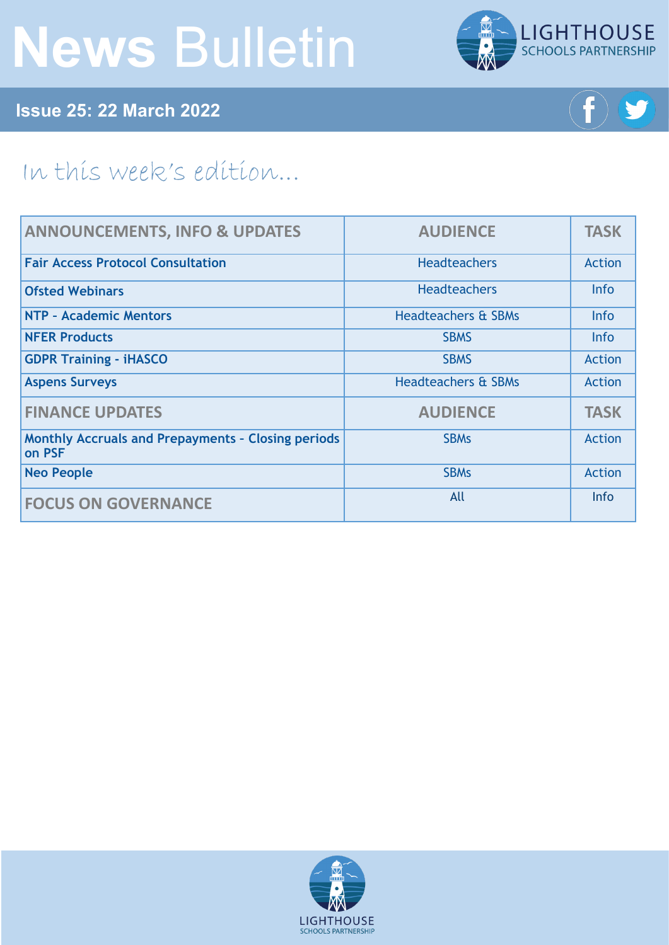# **News** Bulletin



**Issue 25: 22 March 2022**



## In this week's edition...

| <b>ANNOUNCEMENTS, INFO &amp; UPDATES</b>                            | <b>AUDIENCE</b>                | <b>TASK</b>   |
|---------------------------------------------------------------------|--------------------------------|---------------|
| <b>Fair Access Protocol Consultation</b>                            | <b>Headteachers</b>            | <b>Action</b> |
| <b>Ofsted Webinars</b>                                              | <b>Headteachers</b>            | <b>Info</b>   |
| NTP - Academic Mentors                                              | <b>Headteachers &amp; SBMs</b> | <b>Info</b>   |
| <b>NFER Products</b>                                                | <b>SBMS</b>                    | <b>Info</b>   |
| <b>GDPR Training - iHASCO</b>                                       | <b>SBMS</b>                    | <b>Action</b> |
| <b>Aspens Surveys</b>                                               | <b>Headteachers &amp; SBMs</b> | <b>Action</b> |
| <b>FINANCE UPDATES</b>                                              | <b>AUDIENCE</b>                | <b>TASK</b>   |
| <b>Monthly Accruals and Prepayments - Closing periods</b><br>on PSF | <b>SBMs</b>                    | <b>Action</b> |
| <b>Neo People</b>                                                   | <b>SBMs</b>                    | <b>Action</b> |
| <b>FOCUS ON GOVERNANCE</b>                                          | All                            | Info          |

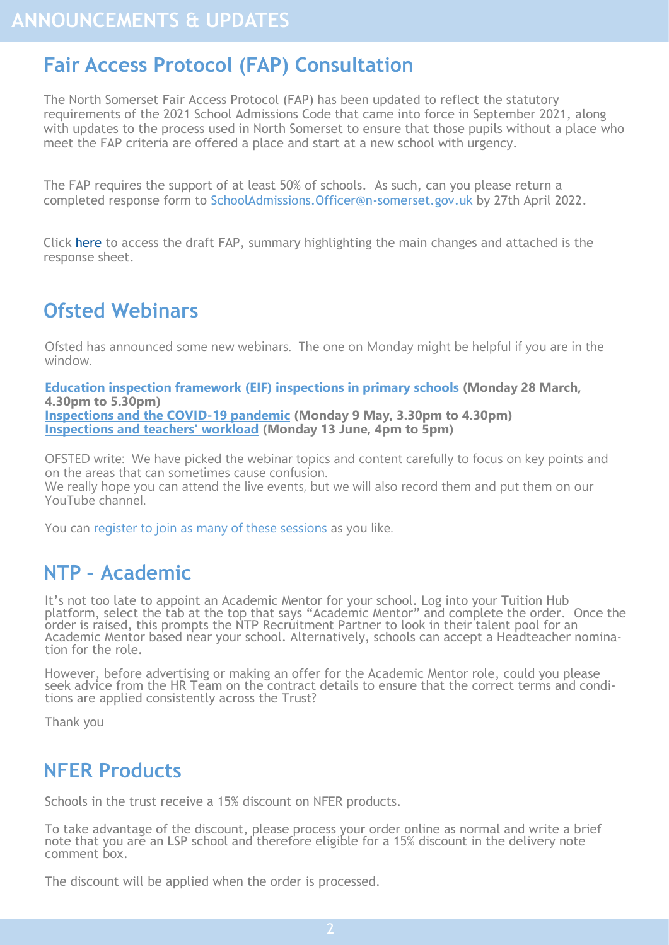## <span id="page-1-0"></span>**Fair Access Protocol (FAP) Consultation**

The North Somerset Fair Access Protocol (FAP) has been updated to reflect the statutory requirements of the 2021 School Admissions Code that came into force in September 2021, along with updates to the process used in North Somerset to ensure that those pupils without a place who meet the FAP criteria are offered a place and start at a new school with urgency.

The FAP requires the support of at least 50% of schools. As such, can you please return a completed response form to SchoolAdmissions.Officer@n-somerset.gov.uk by 27th April 2022.

Click [here](https://foldr.lsp.org.uk/public/NE6LN) to access the draft FAP, summary highlighting the main changes and attached is the response sheet.

## **Ofsted Webinars**

Ofsted has announced some new webinars. The one on Monday might be helpful if you are in the window.

**[Education inspection framework \(EIF\) inspections in primary schools](https://register.gotowebinar.com/register/781422235320284683) (Monday 28 March, 4.30pm to 5.30pm) [Inspections and the COVID](https://register.gotowebinar.com/register/7523971683982222864)-19 pandemic (Monday 9 May, 3.30pm to 4.30pm) [Inspections and teachers' workload](https://register.gotowebinar.com/register/4743190229234062608) (Monday 13 June, 4pm to 5pm)**

OFSTED write: We have picked the webinar topics and content carefully to focus on key points and on the areas that can sometimes cause confusion.

We really hope you can attend the live events, but we will also record them and put them on our YouTube channel.

You can [register to join as many of these sessions](https://www.smartsurvey.co.uk/s/3RRMVN/) as you like.

#### **NTP – Academic**

It's not too late to appoint an Academic Mentor for your school. Log into your Tuition Hub platform, select the tab at the top that says "Academic Mentor" and complete the order. Once the order is raised, this prompts the NTP Recruitment Partner to look in their talent pool for an Academic Mentor based near your school. Alternatively, schools can accept a Headteacher nomination for the role.

However, before advertising or making an offer for the Academic Mentor role, could you please seek advice from the HR Team on the contract details to ensure that the correct terms and conditions are applied consistently across the Trust?

Thank you

#### **NFER Products**

Schools in the trust receive a 15% discount on NFER products.

To take advantage of the discount, please process your order online as normal and write a brief note that you are an LSP school and therefore eligible for a 15% discount in the delivery note comment box.

The discount will be applied when the order is processed.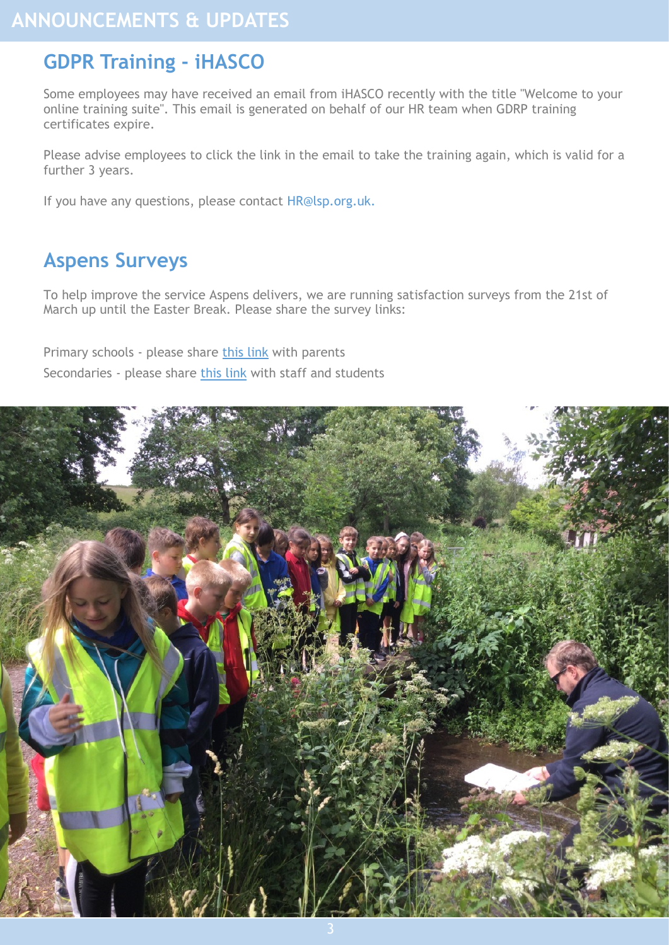## <span id="page-2-0"></span>**GDPR Training - iHASCO**

Some employees may have received an email from iHASCO recently with the title "Welcome to your online training suite". This email is generated on behalf of our HR team when GDRP training certificates expire.

Please advise employees to click the link in the email to take the training again, which is valid for a further 3 years.

If you have any questions, please contact HR@lsp.org.uk.

## **Aspens Surveys**

To help improve the service Aspens delivers, we are running satisfaction surveys from the 21st of March up until the Easter Break. Please share the survey links:

Primary schools - please share [this link](https://www.surveymonkey.co.uk/r/LSPPCS0322) with parents

Secondaries - please share [this link](https://www.surveymonkey.co.uk/r/LSPSCS0322) with staff and students

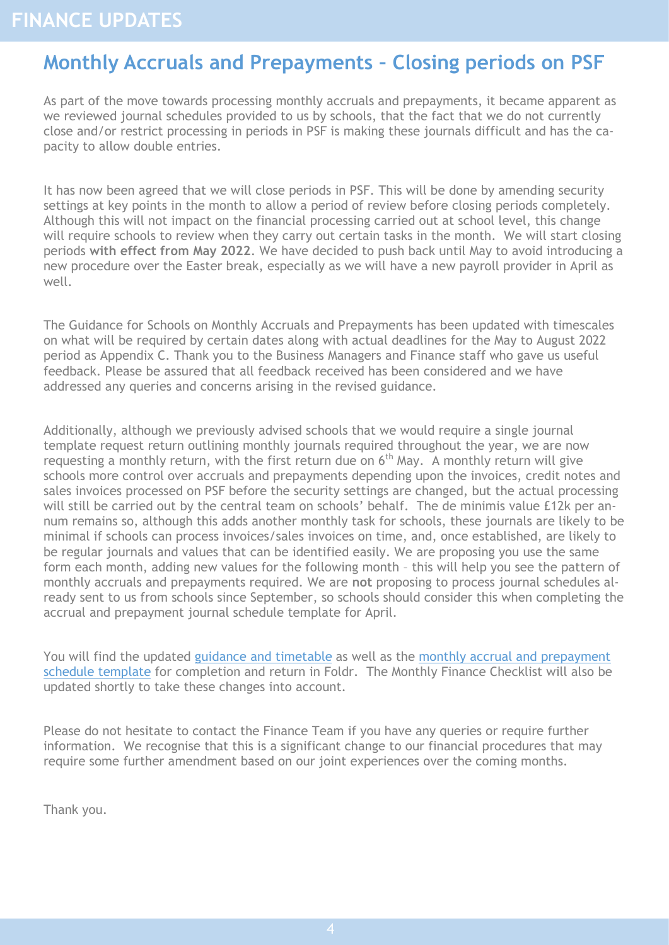## <span id="page-3-0"></span>**Monthly Accruals and Prepayments – Closing periods on PSF**

As part of the move towards processing monthly accruals and prepayments, it became apparent as we reviewed journal schedules provided to us by schools, that the fact that we do not currently close and/or restrict processing in periods in PSF is making these journals difficult and has the capacity to allow double entries.

It has now been agreed that we will close periods in PSF. This will be done by amending security settings at key points in the month to allow a period of review before closing periods completely. Although this will not impact on the financial processing carried out at school level, this change will require schools to review when they carry out certain tasks in the month. We will start closing periods **with effect from May 2022**. We have decided to push back until May to avoid introducing a new procedure over the Easter break, especially as we will have a new payroll provider in April as well.

The Guidance for Schools on Monthly Accruals and Prepayments has been updated with timescales on what will be required by certain dates along with actual deadlines for the May to August 2022 period as Appendix C. Thank you to the Business Managers and Finance staff who gave us useful feedback. Please be assured that all feedback received has been considered and we have addressed any queries and concerns arising in the revised guidance.

Additionally, although we previously advised schools that we would require a single journal template request return outlining monthly journals required throughout the year, we are now requesting a monthly return, with the first return due on  $6<sup>th</sup>$  May. A monthly return will give schools more control over accruals and prepayments depending upon the invoices, credit notes and sales invoices processed on PSF before the security settings are changed, but the actual processing will still be carried out by the central team on schools' behalf. The de minimis value £12k per annum remains so, although this adds another monthly task for schools, these journals are likely to be minimal if schools can process invoices/sales invoices on time, and, once established, are likely to be regular journals and values that can be identified easily. We are proposing you use the same form each month, adding new values for the following month – this will help you see the pattern of monthly accruals and prepayments required. We are **not** proposing to process journal schedules already sent to us from schools since September, so schools should consider this when completing the accrual and prepayment journal schedule template for April.

You will find the updated [guidance and timetable](https://foldr.lsp.org.uk/public/WGJOW) as well as the [monthly accrual and prepayment](https://foldr.lsp.org.uk/public/W99BW)  [schedule template](https://foldr.lsp.org.uk/public/W99BW) for completion and return in Foldr. The Monthly Finance Checklist will also be updated shortly to take these changes into account.

Please do not hesitate to contact the Finance Team if you have any queries or require further information. We recognise that this is a significant change to our financial procedures that may require some further amendment based on our joint experiences over the coming months.

Thank you.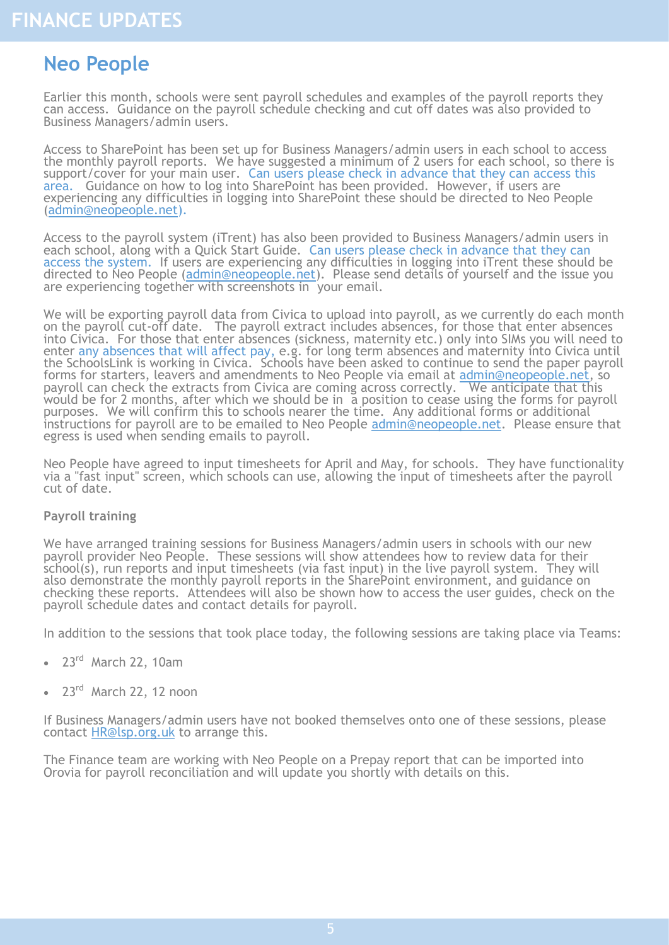### <span id="page-4-0"></span>**Neo People**

Earlier this month, schools were sent payroll schedules and examples of the payroll reports they can access. Guidance on the payroll schedule checking and cut off dates was also provided to Business Managers/admin users.

Access to SharePoint has been set up for Business Managers/admin users in each school to access the monthly payroll reports. We have suggested a minimum of 2 users for each school, so there is support/cover for your main user. Can users please check in advance that they can access this area. Guidance on how to log into SharePoint has been provided. However, if users are experiencing any difficulties in logging into SharePoint these should be directed to Neo People (admin@neopeople.net).

Access to the payroll system (iTrent) has also been provided to Business Managers/admin users in each school, along with a Quick Start Guide. Can users please check in advance that they can access the system. If users are experiencing any difficulties in logging into iTrent these should be directed to Neo People (admin@neopeople.net). Please send details of yourself and the issue you are experiencing together with screenshots in your email.

We will be exporting payroll data from Civica to upload into payroll, as we currently do each month on the payroll cut-off date. The payroll extract includes absences, for those that enter absences into Civica. For those that enter absences (sickness, maternity etc.) only into SIMs you will need to enter any absences that will affect pay, e.g. for long term absences and maternity into Civica until the SchoolsLink is working in Civica. Schools have been asked to continue to send the paper payroll forms for starters, leavers and amendments to Neo People via email at admin@neopeople.net, so payroll can check the extracts from Civica are coming across correctly. We anticipate that this would be for 2 months, after which we should be in a position to cease using the forms for payroll purposes. We will confirm this to schools nearer the time. Any additional forms or additional instructions for payroll are to be emailed to Neo People admin@neopeople.net. Please ensure that egress is used when sending emails to payroll.

Neo People have agreed to input timesheets for April and May, for schools. They have functionality via a "fast input" screen, which schools can use, allowing the input of timesheets after the payroll cut of date.

#### **Payroll training**

We have arranged training sessions for Business Managers/admin users in schools with our new payroll provider Neo People. These sessions will show attendees how to review data for their school(s), run reports and input timesheets (via fast input) in the live payroll system. They will also demonstrate the monthly payroll reports in the SharePoint environment, and guidance on checking these reports. Attendees will also be shown how to access the user guides, check on the payroll schedule dates and contact details for payroll.

In addition to the sessions that took place today, the following sessions are taking place via Teams:

- $23<sup>rd</sup>$  March 22, 10am
- 23<sup>rd</sup> March 22, 12 noon

If Business Managers/admin users have not booked themselves onto one of these sessions, please contact HR@lsp.org.uk to arrange this.

The Finance team are working with Neo People on a Prepay report that can be imported into Orovia for payroll reconciliation and will update you shortly with details on this.